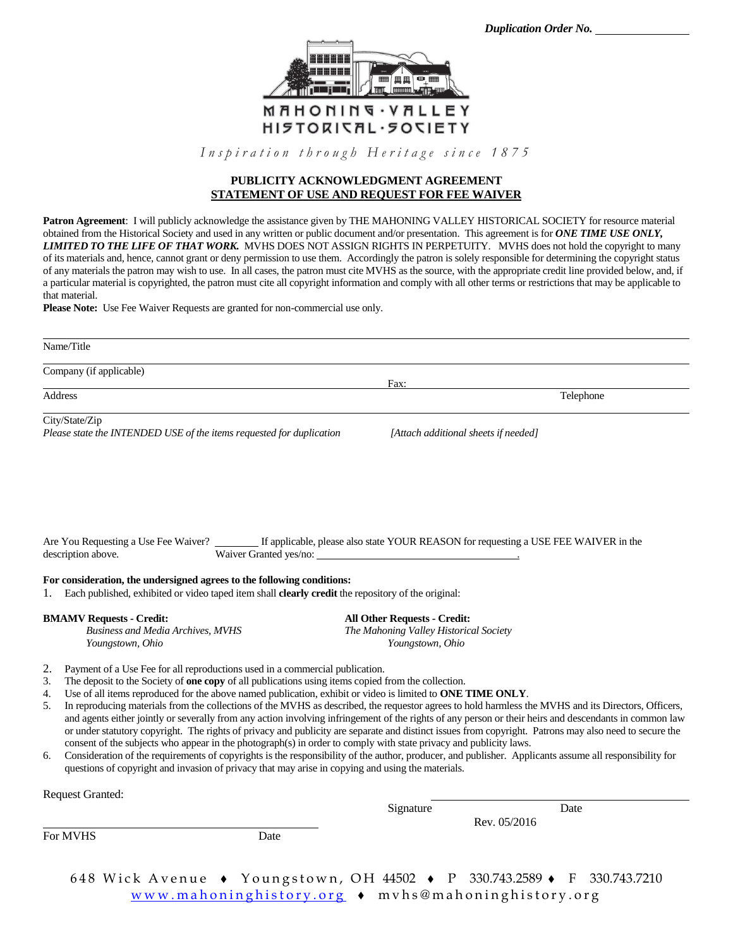

Inspiration through Heritage since 1875

#### **PUBLICITY ACKNOWLEDGMENT AGREEMENT STATEMENT OF USE AND REQUEST FOR FEE WAIVER**

**Patron Agreement**: I will publicly acknowledge the assistance given by THE MAHONING VALLEY HISTORICAL SOCIETY for resource material obtained from the Historical Society and used in any written or public document and/or presentation. This agreement is for *ONE TIME USE ONLY, LIMITED TO THE LIFE OF THAT WORK.* MVHS DOES NOT ASSIGN RIGHTS IN PERPETUITY. MVHS does not hold the copyright to many of its materials and, hence, cannot grant or deny permission to use them. Accordingly the patron is solely responsible for determining the copyright status of any materials the patron may wish to use. In all cases, the patron must cite MVHS as the source, with the appropriate credit line provided below, and, if a particular material is copyrighted, the patron must cite all copyright information and comply with all other terms or restrictions that may be applicable to that material.

**Please Note:** Use Fee Waiver Requests are granted for non-commercial use only.

| Name/Title                                                                             |                                      |           |
|----------------------------------------------------------------------------------------|--------------------------------------|-----------|
| Company (if applicable)                                                                |                                      |           |
| Address                                                                                | Fax:                                 | Telephone |
|                                                                                        |                                      |           |
| City/State/Zip<br>Please state the INTENDED USE of the items requested for duplication | [Attach additional sheets if needed] |           |

If applicable, please also state YOUR REASON for requesting a USE FEE WAIVER in the description above. Waiver Granted yes/no: .

#### **For consideration, the undersigned agrees to the following conditions:**

1. Each published, exhibited or video taped item shall **clearly credit** the repository of the original:

**BMAMV Requests - Credit: All Other Requests - Credit:** *Business and Media Archives, MVHS The Mahoning Valley Historical Society Youngstown, Ohio Youngstown, Ohio*

- 2. Payment of a Use Fee for all reproductions used in a commercial publication.
- 3. The deposit to the Society of **one copy** of all publications using items copied from the collection.
- 4. Use of all items reproduced for the above named publication, exhibit or video is limited to **ONE TIME ONLY**.
- 5. In reproducing materials from the collections of the MVHS as described, the requestor agrees to hold harmless the MVHS and its Directors, Officers, and agents either jointly or severally from any action involving infringement of the rights of any person or their heirs and descendants in common law or under statutory copyright. The rights of privacy and publicity are separate and distinct issues from copyright. Patrons may also need to secure the consent of the subjects who appear in the photograph(s) in order to comply with state privacy and publicity laws.
- 6. Consideration of the requirements of copyrights is the responsibility of the author, producer, and publisher. Applicants assume all responsibility for questions of copyright and invasion of privacy that may arise in copying and using the materials.

| <b>Request Granted:</b> |      |           |                      |  |
|-------------------------|------|-----------|----------------------|--|
|                         |      | Signature | Date<br>Rev. 05/2016 |  |
|                         |      |           |                      |  |
| For MVHS                | Date |           |                      |  |
|                         |      |           |                      |  |
|                         |      |           |                      |  |

648 Wick Avenue • Youngstown, OH 44502 • P 330.743.2589 • F 330.743.7210 www.mahoninghistory.org • mvhs@mahoninghistory.org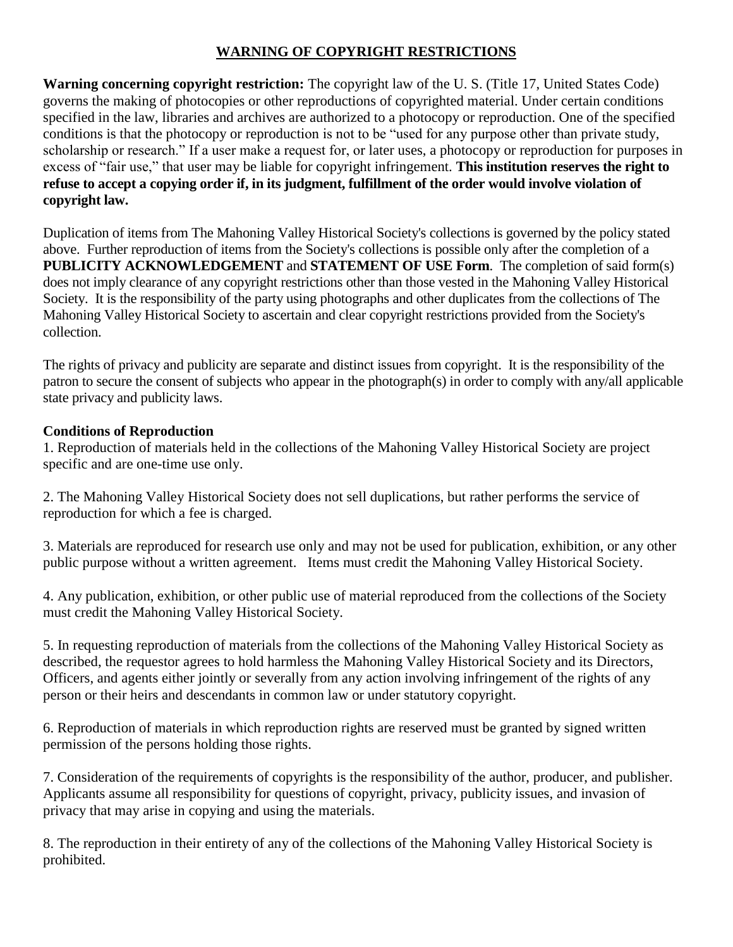# **WARNING OF COPYRIGHT RESTRICTIONS**

**Warning concerning copyright restriction:** The copyright law of the U. S. (Title 17, United States Code) governs the making of photocopies or other reproductions of copyrighted material. Under certain conditions specified in the law, libraries and archives are authorized to a photocopy or reproduction. One of the specified conditions is that the photocopy or reproduction is not to be "used for any purpose other than private study, scholarship or research." If a user make a request for, or later uses, a photocopy or reproduction for purposes in excess of "fair use," that user may be liable for copyright infringement. **This institution reserves the right to refuse to accept a copying order if, in its judgment, fulfillment of the order would involve violation of copyright law.**

Duplication of items from The Mahoning Valley Historical Society's collections is governed by the policy stated above. Further reproduction of items from the Society's collections is possible only after the completion of a **PUBLICITY ACKNOWLEDGEMENT** and **STATEMENT OF USE Form**. The completion of said form(s) does not imply clearance of any copyright restrictions other than those vested in the Mahoning Valley Historical Society. It is the responsibility of the party using photographs and other duplicates from the collections of The Mahoning Valley Historical Society to ascertain and clear copyright restrictions provided from the Society's collection.

The rights of privacy and publicity are separate and distinct issues from copyright. It is the responsibility of the patron to secure the consent of subjects who appear in the photograph(s) in order to comply with any/all applicable state privacy and publicity laws.

# **Conditions of Reproduction**

1. Reproduction of materials held in the collections of the Mahoning Valley Historical Society are project specific and are one-time use only.

2. The Mahoning Valley Historical Society does not sell duplications, but rather performs the service of reproduction for which a fee is charged.

3. Materials are reproduced for research use only and may not be used for publication, exhibition, or any other public purpose without a written agreement. Items must credit the Mahoning Valley Historical Society.

4. Any publication, exhibition, or other public use of material reproduced from the collections of the Society must credit the Mahoning Valley Historical Society.

5. In requesting reproduction of materials from the collections of the Mahoning Valley Historical Society as described, the requestor agrees to hold harmless the Mahoning Valley Historical Society and its Directors, Officers, and agents either jointly or severally from any action involving infringement of the rights of any person or their heirs and descendants in common law or under statutory copyright.

6. Reproduction of materials in which reproduction rights are reserved must be granted by signed written permission of the persons holding those rights.

7. Consideration of the requirements of copyrights is the responsibility of the author, producer, and publisher. Applicants assume all responsibility for questions of copyright, privacy, publicity issues, and invasion of privacy that may arise in copying and using the materials.

8. The reproduction in their entirety of any of the collections of the Mahoning Valley Historical Society is prohibited.